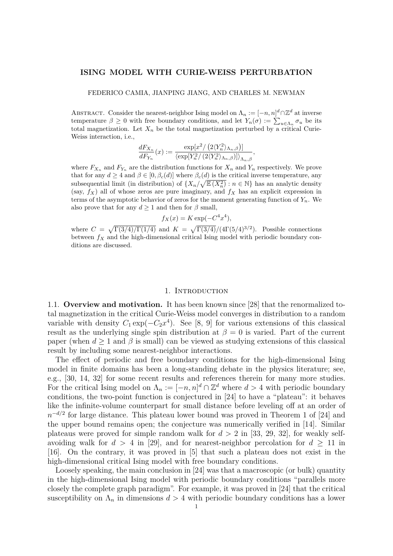#### **ISING MODEL WITH CURIE-WEISS PERTURBATION**

FEDERICO CAMIA, JIANPING JIANG, AND CHARLES M. NEWMAN

ABSTRACT. Consider the nearest-neighbor Ising model on  $\Lambda_n := [-n, n]^d \cap \mathbb{Z}^d$  at inverse temperature  $\beta \geq 0$  with free boundary conditions, and let  $Y_n(\sigma) := \sum_{u \in \Lambda_n} \sigma_u$  be its total magnetization. Let  $X_n$  be the total magnetization perturbed by a critical Curie-Weiss interaction, i.e.,

$$
\frac{dF_{X_n}}{dF_{Y_n}}(x) := \frac{\exp\left[\frac{x^2}{2\langle Y_n^2 \rangle_{\Lambda_n,\beta}}\right] \,}{\langle \exp\left[Y_n^2/\left(\frac{2\langle Y_n^2 \rangle_{\Lambda_n,\beta}}{\Lambda_n,\beta}\right) \right] \rangle_{\Lambda_n,\beta}},
$$

where  $F_{X_n}$  and  $F_{Y_n}$  are the distribution functions for  $X_n$  and  $Y_n$  respectively. We prove that for any  $d \geq 4$  and  $\beta \in [0, \beta_c(d)]$  where  $\beta_c(d)$  is the critical inverse temperature, any subsequential limit (in distribution) of  $\{X_n/\sqrt{\mathbb{E}(X_n^2)} : n \in \mathbb{N}\}\)$  has an analytic density (say,  $f_X$ ) all of whose zeros are pure imaginary, and  $f_X$  has an explicit expression in terms of the asymptotic behavior of zeros for the moment generating function of  $Y_n$ . We also prove that for any  $d \geq 1$  and then for  $\beta$  small,

$$
f_X(x) = K \exp(-C^4 x^4),
$$

where  $C = \sqrt{\Gamma(3/4)/\Gamma(1/4)}$  and  $K = \sqrt{\Gamma(3/4)/(4\Gamma(5/4)^{3/2})}$ . Possible connections between *f<sup>X</sup>* and the high-dimensional critical Ising model with periodic boundary conditions are discussed.

#### 1. INTRODUCTION

1.1. **Overview and motivation.** It has been known since [28] that the renormalized total magnetization in the critical Curie-Weiss model converges in distribution to a random variable with density  $C_1 \exp(-C_2 x^4)$ . See [8, 9] for various extensions of this classical result as the underlying single spin distribution at  $\beta = 0$  is varied. Part of the current paper (when  $d \geq 1$  and  $\beta$  is small) can be viewed as studying extensions of this classical result by including some nearest-neighbor interactions.

The effect of periodic and free boundary conditions for the high-dimensional Ising model in finite domains has been a long-standing debate in the physics literature; see, e.g., [30, 14, 32] for some recent results and references therein for many more studies. For the critical Ising model on  $\Lambda_n := [-n, n]^d \cap \mathbb{Z}^d$  where  $d > 4$  with periodic boundary conditions, the two-point function is conjectured in [24] to have a "plateau": it behaves like the infinite-volume counterpart for small distance before leveling off at an order of *n*<sup>-*d*/2</sup> for large distance. This plateau lower bound was proved in Theorem 1 of [24] and the upper bound remains open; the conjecture was numerically verified in [14]. Similar plateaus were proved for simple random walk for  $d > 2$  in [33, 29, 32], for weakly selfavoiding walk for  $d > 4$  in [29], and for nearest-neighbor percolation for  $d \ge 11$  in [16]. On the contrary, it was proved in [5] that such a plateau does not exist in the high-dimensional critical Ising model with free boundary conditions.

Loosely speaking, the main conclusion in [24] was that a macroscopic (or bulk) quantity in the high-dimensional Ising model with periodic boundary conditions "parallels more closely the complete graph paradigm". For example, it was proved in [24] that the critical susceptibility on  $\Lambda_n$  in dimensions  $d > 4$  with periodic boundary conditions has a lower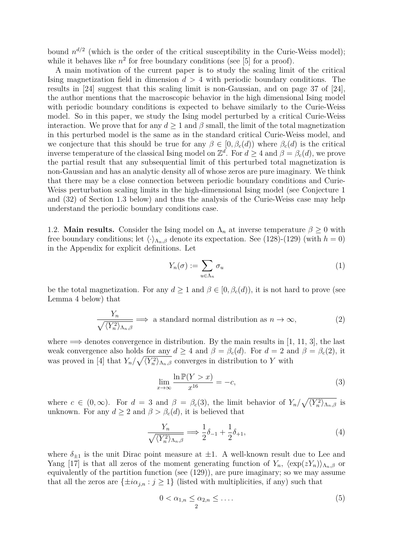bound  $n^{d/2}$  (which is the order of the critical susceptibility in the Curie-Weiss model); while it behaves like  $n^2$  for free boundary conditions (see [5] for a proof).

A main motivation of the current paper is to study the scaling limit of the critical Ising magnetization field in dimension *d >* 4 with periodic boundary conditions. The results in [24] suggest that this scaling limit is non-Gaussian, and on page 37 of [24], the author mentions that the macroscopic behavior in the high dimensional Ising model with periodic boundary conditions is expected to behave similarly to the Curie-Weiss model. So in this paper, we study the Ising model perturbed by a critical Curie-Weiss interaction. We prove that for any  $d \geq 1$  and  $\beta$  small, the limit of the total magnetization in this perturbed model is the same as in the standard critical Curie-Weiss model, and we conjecture that this should be true for any  $\beta \in [0, \beta_c(d))$  where  $\beta_c(d)$  is the critical inverse temperature of the classical Ising model on  $\mathbb{Z}^d$ . For  $d \geq 4$  and  $\beta = \beta_c(d)$ , we prove the partial result that any subsequential limit of this perturbed total magnetization is non-Gaussian and has an analytic density all of whose zeros are pure imaginary. We think that there may be a close connection between periodic boundary conditions and Curie-Weiss perturbation scaling limits in the high-dimensional Ising model (see Conjecture 1 and (32) of Section 1.3 below) and thus the analysis of the Curie-Weiss case may help understand the periodic boundary conditions case.

1.2. **Main results.** Consider the Ising model on  $\Lambda_n$  at inverse temperature  $\beta \geq 0$  with free boundary conditions; let  $\langle \cdot \rangle_{\Lambda_n,\beta}$  denote its expectation. See (128)-(129) (with  $h = 0$ ) in the Appendix for explicit definitions. Let

$$
Y_n(\sigma) := \sum_{u \in \Lambda_n} \sigma_u \tag{1}
$$

be the total magnetization. For any  $d \geq 1$  and  $\beta \in [0, \beta_c(d))$ , it is not hard to prove (see Lemma 4 below) that

$$
\frac{Y_n}{\sqrt{\langle Y_n^2 \rangle_{\Lambda_n,\beta}}} \Longrightarrow \text{ a standard normal distribution as } n \to \infty,
$$
 (2)

where  $\implies$  denotes convergence in distribution. By the main results in [1, 11, 3], the last weak convergence also holds for any  $d \geq 4$  and  $\beta = \beta_c(d)$ . For  $d = 2$  and  $\beta = \beta_c(2)$ , it was proved in [4] that  $Y_n/\sqrt{\langle Y_n^2 \rangle_{\Lambda_n,\beta}}$  converges in distribution to *Y* with

$$
\lim_{x \to \infty} \frac{\ln \mathbb{P}(Y > x)}{x^{16}} = -c,\tag{3}
$$

where  $c \in (0, \infty)$ . For  $d = 3$  and  $\beta = \beta_c(3)$ , the limit behavior of  $Y_n/\sqrt{\langle Y_n^2 \rangle_{\Lambda_n,\beta}}$  is unknown. For any  $d \geq 2$  and  $\beta > \beta_c(d)$ , it is believed that

$$
\frac{Y_n}{\sqrt{\langle Y_n^2 \rangle_{\Lambda_n,\beta}}} \Longrightarrow \frac{1}{2}\delta_{-1} + \frac{1}{2}\delta_{+1},\tag{4}
$$

where  $\delta_{\pm 1}$  is the unit Dirac point measure at  $\pm 1$ . A well-known result due to Lee and Yang [17] is that all zeros of the moment generating function of  $Y_n$ ,  $\langle \exp(zY_n) \rangle_{\Lambda_n, \beta}$  or equivalently of the partition function (see (129)), are pure imaginary; so we may assume that all the zeros are  $\{\pm i\alpha_{j,n} : j \geq 1\}$  (listed with multiplicities, if any) such that

$$
0 < \alpha_{1,n} \leq \alpha_{2,n} \leq \dots \tag{5}
$$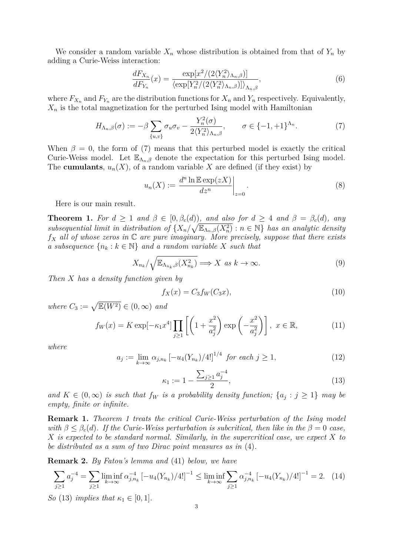We consider a random variable  $X_n$  whose distribution is obtained from that of  $Y_n$  by adding a Curie-Weiss interaction:

$$
\frac{dF_{X_n}}{dF_{Y_n}}(x) = \frac{\exp[x^2/(2\langle Y_n^2 \rangle_{\Lambda_n,\beta})]}{\langle \exp[Y_n^2/(2\langle Y_n^2 \rangle_{\Lambda_n,\beta})] \rangle_{\Lambda_n,\beta}},\tag{6}
$$

where  $F_{X_n}$  and  $F_{Y_n}$  are the distribution functions for  $X_n$  and  $Y_n$  respectively. Equivalently,  $X_n$  is the total magnetization for the perturbed Ising model with Hamiltonian

$$
H_{\Lambda_n,\beta}(\sigma) := -\beta \sum_{\{u,v\}} \sigma_u \sigma_v - \frac{Y_n^2(\sigma)}{2 \langle Y_n^2 \rangle_{\Lambda_n,\beta}}, \qquad \sigma \in \{-1,+1\}^{\Lambda_n}.
$$
 (7)

When  $\beta = 0$ , the form of (7) means that this perturbed model is exactly the critical Curie-Weiss model. Let  $\mathbb{E}_{\Lambda_n,\beta}$  denote the expectation for this perturbed Ising model. The **cumulants**,  $u_n(X)$ , of a random variable X are defined (if they exist) by

$$
u_n(X) := \frac{d^n \ln \mathbb{E} \exp(zX)}{dz^n} \bigg|_{z=0}.
$$
 (8)

Here is our main result.

**Theorem 1.** For  $d \geq 1$  and  $\beta \in [0, \beta_c(d))$ , and also for  $d \geq 4$  and  $\beta = \beta_c(d)$ , any *subsequential limit in distribution of*  $\{X_n/\sqrt{\mathbb{E}_{\Lambda_n,\beta}(X_n^2)} : n \in \mathbb{N}\}\)$  *has an analytic density f<sup>X</sup> all of whose zeros in* C *are pure imaginary. More precisely, suppose that there exists a subsequence*  $\{n_k : k \in \mathbb{N}\}\$  *and a random variable X such that* 

$$
X_{n_k}/\sqrt{\mathbb{E}_{\Lambda_{n_k},\beta}(X_{n_k}^2)} \Longrightarrow X \text{ as } k \to \infty.
$$
 (9)

*Then X has a density function given by*

$$
f_X(x) = C_3 f_W(C_3 x),
$$
\n(10)

 $where C_3 := \sqrt{\mathbb{E}(W^2)} \in (0, \infty)$  *and* 

$$
f_W(x) = K \exp\left[-\kappa_1 x^4\right] \prod_{j \ge 1} \left[ \left(1 + \frac{x^2}{a_j^2}\right) \exp\left(-\frac{x^2}{a_j^2}\right) \right], \ x \in \mathbb{R}, \tag{11}
$$

*where*

$$
a_j := \lim_{k \to \infty} \alpha_{j,n_k} \left[ -u_4(Y_{n_k})/4! \right]^{1/4} \text{ for each } j \ge 1,
$$
 (12)

$$
\kappa_1 := 1 - \frac{\sum_{j\geq 1} a_j^{-4}}{2},\tag{13}
$$

*and*  $K \in (0, \infty)$  *is such that*  $f_W$  *is a probability density function;*  $\{a_j : j \geq 1\}$  *may be empty, finite or infinite.*

**Remark 1.** *Theorem 1 treats the critical Curie-Weiss perturbation of the Ising model with*  $\beta \leq \beta_c(d)$ . If the Curie-Weiss perturbation is subcritical, then like in the  $\beta = 0$  case, *X is expected to be standard normal. Similarly, in the supercritical case, we expect X to be distributed as a sum of two Dirac point measures as in* (4)*.*

**Remark 2.** *By Fatou's lemma and* (41) *below, we have*

$$
\sum_{j\geq 1} a_j^{-4} = \sum_{j\geq 1} \liminf_{k\to\infty} \alpha_{j,n_k}^{-4} \left[ -u_4(Y_{n_k})/4! \right]^{-1} \leq \liminf_{k\to\infty} \sum_{j\geq 1} \alpha_{j,n_k}^{-4} \left[ -u_4(Y_{n_k})/4! \right]^{-1} = 2. \tag{14}
$$

*So* (13) *implies that*  $\kappa_1 \in [0, 1]$ *.*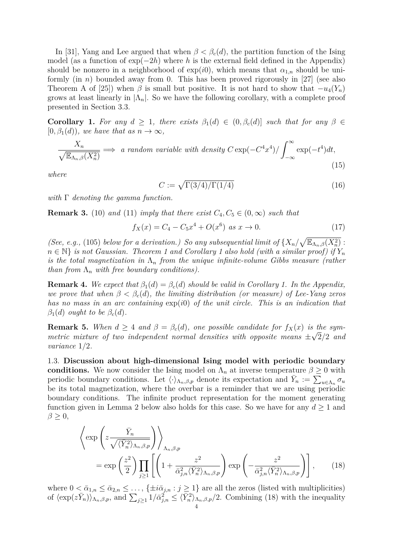In [31], Yang and Lee argued that when  $\beta < \beta_c(d)$ , the partition function of the Ising model (as a function of exp(*−*2*h*) where *h* is the external field defined in the Appendix) should be nonzero in a neighborhood of  $exp(i0)$ , which means that  $\alpha_{1,n}$  should be uniformly (in *n*) bounded away from 0. This has been proved rigorously in [27] (see also Theorem A of [25]) when  $\beta$  is small but positive. It is not hard to show that  $-\nu_4(Y_n)$ grows at least linearly in  $|\Lambda_n|$ . So we have the following corollary, with a complete proof presented in Section 3.3.

**Corollary 1.** For any  $d \geq 1$ , there exists  $\beta_1(d) \in (0, \beta_c(d)]$  such that for any  $\beta \in$  $[0, \beta_1(d))$ *, we have that as*  $n \to \infty$ *,* 

$$
\frac{X_n}{\sqrt{\mathbb{E}_{\Lambda_n,\beta}(X_n^2)}} \implies \text{ a random variable with density } C \exp(-C^4 x^4) / \int_{-\infty}^{\infty} \exp(-t^4) dt,
$$
\n(15)

*where*

$$
C := \sqrt{\Gamma(3/4)/\Gamma(1/4)}\tag{16}
$$

*with* Γ *denoting the gamma function.*

**Remark 3.** (10) and (11) *imply that there exist*  $C_4$ ,  $C_5 \in (0, \infty)$  *such that* 

$$
f_X(x) = C_4 - C_5 x^4 + O(x^6) \text{ as } x \to 0. \tag{17}
$$

*(See, e.g.,* (105) *below for a derivation.) So any subsequential limit of*  $\{X_n/\sqrt{\mathbb{E}_{\Lambda_n,\beta}(X_n^2)}:\}$  $n \in \mathbb{N}$  *is not Gaussian. Theorem 1 and Corollary 1 also hold (with a similar proof) if*  $Y_n$ *is the total magnetization in*  $\Lambda_n$  *from the unique infinite-volume Gibbs measure (rather than from*  $\Lambda_n$  *with free boundary conditions).* 

**Remark 4.** We expect that  $\beta_1(d) = \beta_c(d)$  should be valid in Corollary 1. In the Appendix, *we prove that when*  $\beta < \beta_c(d)$ *, the limiting distribution (or measure) of Lee-Yang zeros has no mass in an arc containing* exp(*i*0) *of the unit circle. This is an indication that*  $\beta_1(d)$  *ought to be*  $\beta_c(d)$ *.* 

**Remark 5.** When  $d \geq 4$  and  $\beta = \beta_c(d)$ , one possible candidate for  $f_X(x)$  is the sym*metric mixture of two independent normal densities with opposite means*  $\pm\sqrt{2}/2$  *and variance* 1*/*2*.*

1.3. **Discussion about high-dimensional Ising model with periodic boundary conditions.** We now consider the Ising model on  $\Lambda_n$  at inverse temperature  $\beta \geq 0$  with periodic boundary conditions. Let  $\langle \cdot \rangle_{\Lambda_n,\beta,p}$  denote its expectation and  $\bar{Y}_n := \sum_{u \in \Lambda_n} \sigma_u$ be its total magnetization, where the overbar is a reminder that we are using periodic boundary conditions. The infinite product representation for the moment generating function given in Lemma 2 below also holds for this case. So we have for any  $d \geq 1$  and *β ≥* 0,

$$
\left\langle \exp\left(z \frac{\bar{Y}_n}{\sqrt{\langle \bar{Y}_n^2 \rangle_{\Lambda_n, \beta, p}}} \right) \right\rangle_{\Lambda_n, \beta, p} = \exp\left(\frac{z^2}{2}\right) \prod_{j \ge 1} \left[ \left(1 + \frac{z^2}{\bar{\alpha}_{j,n}^2 \langle \bar{Y}_n^2 \rangle_{\Lambda_n, \beta, p}} \right) \exp\left(-\frac{z^2}{\bar{\alpha}_{j,n}^2 \langle \bar{Y}_n^2 \rangle_{\Lambda_n, \beta, p}} \right) \right], \quad (18)
$$

where  $0 < \bar{\alpha}_{1,n} \leq \bar{\alpha}_{2,n} \leq \ldots$ ,  $\{\pm i\bar{\alpha}_{j,n} : j \geq 1\}$  are all the zeros (listed with multiplicities) of  $\langle \exp(z\bar{Y}_n) \rangle_{\Lambda_n,\beta,p}$ , and  $\sum_{j\geq 1} 1/\bar{\alpha}_{j,n}^2 \leq \langle \bar{Y}_n^2 \rangle_{\Lambda_n,\beta,p}/2$ . Combining (18) with the inequality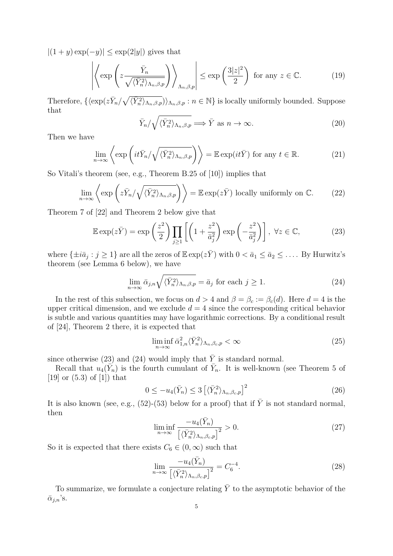$|(1 + y) \exp(-y)|$  ≤ exp(2|*y*|) gives that

$$
\left| \left\langle \exp \left( z \frac{\bar{Y}_n}{\sqrt{\langle \bar{Y}_n^2 \rangle_{\Lambda_n, \beta, p}}} \right) \right\rangle_{\Lambda_n, \beta, p} \right| \le \exp \left( \frac{3|z|^2}{2} \right) \text{ for any } z \in \mathbb{C}. \tag{19}
$$

Therefore,  $\{\langle \exp(z\bar{Y}_n/\sqrt{\langle \bar{Y}_n^2 \rangle_{\Lambda_n,\beta,p}})\rangle_{\Lambda_n,\beta,p} : n \in \mathbb{N} \}$  is locally uniformly bounded. Suppose that

$$
\bar{Y}_n / \sqrt{\langle \bar{Y}_n^2 \rangle_{\Lambda_n, \beta, p}} \Longrightarrow \bar{Y} \text{ as } n \to \infty. \tag{20}
$$

Then we have

$$
\lim_{n \to \infty} \left\langle \exp\left(it\bar{Y}_n/\sqrt{\langle \bar{Y}_n^2 \rangle_{\Lambda_n,\beta,p}}\right) \right\rangle = \mathbb{E} \exp(it\bar{Y}) \text{ for any } t \in \mathbb{R}.
$$
 (21)

So Vitali's theorem (see, e.g., Theorem B.25 of [10]) implies that

$$
\lim_{n \to \infty} \left\langle \exp \left( z \bar{Y}_n / \sqrt{\langle \bar{Y}_n^2 \rangle_{\Lambda_n, \beta, p}} \right) \right\rangle = \mathbb{E} \exp(z \bar{Y}) \text{ locally uniformly on } \mathbb{C}. \tag{22}
$$

Theorem 7 of [22] and Theorem 2 below give that

$$
\mathbb{E}\exp(z\bar{Y}) = \exp\left(\frac{z^2}{2}\right) \prod_{j\geq 1} \left[ \left(1 + \frac{z^2}{\bar{a}_j^2}\right) \exp\left(-\frac{z^2}{\bar{a}_j^2}\right) \right], \ \forall z \in \mathbb{C},\tag{23}
$$

where  $\{\pm i\bar{a}_j : j \ge 1\}$  are all the zeros of  $\mathbb{E} \exp(z\bar{Y})$  with  $0 < \bar{a}_1 \le \bar{a}_2 \le \ldots$ . By Hurwitz's theorem (see Lemma 6 below), we have

$$
\lim_{n \to \infty} \bar{\alpha}_{j,n} \sqrt{\langle \bar{Y}_n^2 \rangle_{\Lambda_n, \beta, p}} = \bar{a}_j \text{ for each } j \ge 1.
$$
\n(24)

In the rest of this subsection, we focus on  $d > 4$  and  $\beta = \beta_c := \beta_c(d)$ . Here  $d = 4$  is the upper critical dimension, and we exclude  $d = 4$  since the corresponding critical behavior is subtle and various quantities may have logarithmic corrections. By a conditional result of [24], Theorem 2 there, it is expected that

$$
\liminf_{n \to \infty} \bar{\alpha}_{1,n}^2 \langle \bar{Y}_n^2 \rangle_{\Lambda_n, \beta_c, p} < \infty \tag{25}
$$

since otherwise (23) and (24) would imply that  $\overline{Y}$  is standard normal.

Recall that  $u_4(\tilde{Y}_n)$  is the fourth cumulant of  $\bar{Y}_n$ . It is well-known (see Theorem 5 of  $[19]$  or  $(5.3)$  of  $[1]$  that

$$
0 \le -u_4(\bar{Y}_n) \le 3\left[\langle \bar{Y}_n^2 \rangle_{\Lambda_n, \beta_c, p}\right]^2 \tag{26}
$$

It is also known (see, e.g.,  $(52)-(53)$ ) below for a proof) that if  $\overline{Y}$  is not standard normal, then

$$
\liminf_{n \to \infty} \frac{-u_4(\bar{Y}_n)}{\left[\langle \bar{Y}_n^2 \rangle_{\Lambda_n, \beta_c, p} \right]^2} > 0. \tag{27}
$$

So it is expected that there exists  $C_6 \in (0, \infty)$  such that

$$
\lim_{n \to \infty} \frac{-u_4(\bar{Y}_n)}{\left[\left\langle \bar{Y}_n^2 \right\rangle_{\Lambda_n, \beta_c, p} \right]^2} = C_6^{-4}.
$$
\n(28)

To summarize, we formulate a conjecture relating  $\overline{Y}$  to the asymptotic behavior of the  $\bar{\alpha}_{j,n}$ 's.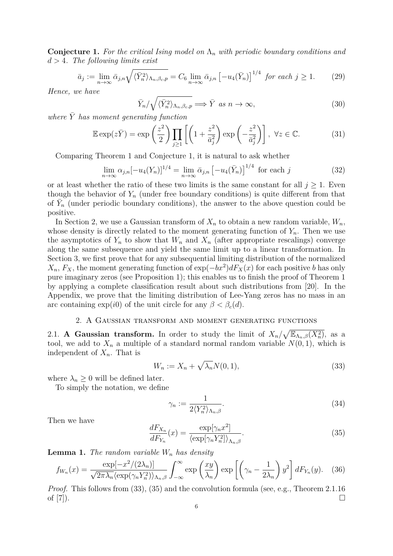**Conjecture 1.** *For the critical Ising model on* Λ*<sup>n</sup> with periodic boundary conditions and d >* 4*. The following limits exist*

$$
\bar{a}_j := \lim_{n \to \infty} \bar{\alpha}_{j,n} \sqrt{\langle \bar{Y}_n^2 \rangle_{\Lambda_n, \beta_c, p}} = C_6 \lim_{n \to \infty} \bar{\alpha}_{j,n} \left[ -u_4(\bar{Y}_n) \right]^{1/4} \text{ for each } j \ge 1.
$$
 (29)

*Hence, we have*

$$
\bar{Y}_n / \sqrt{\langle \bar{Y}_n^2 \rangle_{\Lambda_n, \beta_c, p}} \Longrightarrow \bar{Y} \text{ as } n \to \infty,
$$
\n(30)

*where*  $\bar{Y}$  *has moment generating function* 

$$
\mathbb{E}\exp(z\bar{Y}) = \exp\left(\frac{z^2}{2}\right) \prod_{j\geq 1} \left[ \left(1 + \frac{z^2}{\bar{a}_j^2}\right) \exp\left(-\frac{z^2}{\bar{a}_j^2}\right) \right], \ \forall z \in \mathbb{C}.\tag{31}
$$

Comparing Theorem 1 and Conjecture 1, it is natural to ask whether

$$
\lim_{n \to \infty} \alpha_{j,n} [-u_4(Y_n)]^{1/4} = \lim_{n \to \infty} \bar{\alpha}_{j,n} [-u_4(\bar{Y}_n)]^{1/4} \text{ for each } j
$$
 (32)

or at least whether the ratio of these two limits is the same constant for all  $j \geq 1$ . Even though the behavior of  $Y_n$  (under free boundary conditions) is quite different from that of  $\overline{Y}_n$  (under periodic boundary conditions), the answer to the above question could be positive.

In Section 2, we use a Gaussian transform of  $X_n$  to obtain a new random variable,  $W_n$ , whose density is directly related to the moment generating function of  $Y_n$ . Then we use the asymptotics of  $Y_n$  to show that  $W_n$  and  $X_n$  (after appropriate rescalings) converge along the same subsequence and yield the same limit up to a linear transformation. In Section 3, we first prove that for any subsequential limiting distribution of the normalized  $X_n$ ,  $F_X$ , the moment generating function of  $\exp(-bx^2)dF_X(x)$  for each positive *b* has only pure imaginary zeros (see Proposition 1); this enables us to finish the proof of Theorem 1 by applying a complete classification result about such distributions from [20]. In the Appendix, we prove that the limiting distribution of Lee-Yang zeros has no mass in an arc containing  $\exp(i0)$  of the unit circle for any  $\beta < \beta_c(d)$ .

# 2. A Gaussian transform and moment generating functions

2.1. **A Gaussian transform.** In order to study the limit of  $X_n/\sqrt{\mathbb{E}_{\Lambda_n,\beta}(X_n^2)}$ , as a tool, we add to  $X_n$  a multiple of a standard normal random variable  $N(0,1)$ , which is independent of *Xn*. That is

$$
W_n := X_n + \sqrt{\lambda_n} N(0, 1), \tag{33}
$$

where  $\lambda_n \geq 0$  will be defined later.

To simply the notation, we define

$$
\gamma_n := \frac{1}{2 \langle Y_n^2 \rangle_{\Lambda_n, \beta}}.
$$
\n(34)

Then we have

$$
\frac{dF_{X_n}}{dF_{Y_n}}(x) = \frac{\exp[\gamma_n x^2]}{\langle \exp[\gamma_n Y_n^2] \rangle_{\Lambda_n, \beta}}.\tag{35}
$$

**Lemma 1.** *The random variable W<sup>n</sup> has density*

$$
f_{W_n}(x) = \frac{\exp[-x^2/(2\lambda_n)]}{\sqrt{2\pi\lambda_n}\langle\exp(\gamma_n Y_n^2)\rangle_{\Lambda_n,\beta}} \int_{-\infty}^{\infty} \exp\left(\frac{xy}{\lambda_n}\right) \exp\left[\left(\gamma_n - \frac{1}{2\lambda_n}\right)y^2\right] dF_{Y_n}(y). \quad (36)
$$

*Proof.* This follows from (33), (35) and the convolution formula (see, e.g., Theorem 2.1.16 of  $[7]$ ).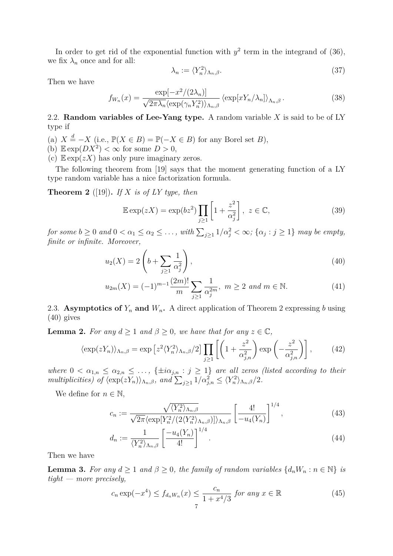In order to get rid of the exponential function with  $y^2$  term in the integrand of (36), we fix  $\lambda_n$  once and for all:

$$
\lambda_n := \langle Y_n^2 \rangle_{\Lambda_n, \beta}.\tag{37}
$$

Then we have

$$
f_{W_n}(x) = \frac{\exp[-x^2/(2\lambda_n)]}{\sqrt{2\pi\lambda_n}\langle\exp(\gamma_n Y_n^2)\rangle_{\Lambda_n,\beta}} \langle\exp[xY_n/\lambda_n]\rangle_{\Lambda_n,\beta}.
$$
 (38)

2.2. **Random variables of Lee-Yang type.** A random variable *X* is said to be of LY type if

- (a)  $X \stackrel{d}{=} -X$  (i.e.,  $\mathbb{P}(X \in B) = \mathbb{P}(-X \in B)$  for any Borel set *B*),
- (b)  $\mathbb{E} \exp(DX^2) < \infty$  for some  $D > 0$ ,
- (c)  $\mathbb{E} \exp(zX)$  has only pure imaginary zeros.

The following theorem from [19] says that the moment generating function of a LY type random variable has a nice factorization formula.

**Theorem 2** ([19]). If X is of LY type, then

$$
\mathbb{E}\exp(zX) = \exp(bz^2) \prod_{j\geq 1} \left[1 + \frac{z^2}{\alpha_j^2}\right], \ z \in \mathbb{C},\tag{39}
$$

for some  $b \ge 0$  and  $0 < \alpha_1 \le \alpha_2 \le \ldots$ , with  $\sum_{j\ge 1} 1/\alpha_j^2 < \infty$ ;  $\{\alpha_j : j \ge 1\}$  may be empty, *finite or infinite. Moreover,*

$$
u_2(X) = 2\left(b + \sum_{j\geq 1} \frac{1}{\alpha_j^2}\right),\tag{40}
$$

$$
u_{2m}(X) = (-1)^{m-1} \frac{(2m)!}{m} \sum_{j \ge 1} \frac{1}{\alpha_j^{2m}}, \ m \ge 2 \ and \ m \in \mathbb{N}.
$$
 (41)

2.3. **Asymptotics of**  $Y_n$  and  $W_n$ . A direct application of Theorem 2 expressing *b* using (40) gives

**Lemma 2.** *For any*  $d \geq 1$  *and*  $\beta \geq 0$ *, we have that for any*  $z \in \mathbb{C}$ *,* 

$$
\langle \exp(zY_n) \rangle_{\Lambda_n, \beta} = \exp\left[z^2 \langle Y_n^2 \rangle_{\Lambda_n, \beta}/2\right] \prod_{j \ge 1} \left[ \left(1 + \frac{z^2}{\alpha_{j,n}^2}\right) \exp\left(-\frac{z^2}{\alpha_{j,n}^2}\right) \right],\tag{42}
$$

*where*  $0 < \alpha_{1,n} \leq \alpha_{2,n} \leq \ldots$ ,  $\{\pm i\alpha_{j,n} : j \geq 1\}$  *are all zeros (listed according to their multiplicities) of*  $\langle \exp(zY_n) \rangle_{\Lambda_n, \beta}$ , and  $\sum_{j \geq 1} 1/\alpha_{j,n}^2 \leq \langle Y_n^2 \rangle_{\Lambda_n, \beta}$ /2.

We define for  $n \in \mathbb{N}$ ,

$$
c_n := \frac{\sqrt{\langle Y_n^2 \rangle_{\Lambda_n, \beta}}}{\sqrt{2\pi} \langle \exp[Y_n^2/(2\langle Y_n^2 \rangle_{\Lambda_n, \beta})] \rangle_{\Lambda_n, \beta}} \left[ \frac{4!}{-u_4(Y_n)} \right]^{1/4}, \tag{43}
$$

$$
d_n := \frac{1}{\langle Y_n^2 \rangle_{\Lambda_n, \beta}} \left[ \frac{-u_4(Y_n)}{4!} \right]^{1/4}.
$$
 (44)

Then we have

**Lemma 3.** For any  $d \geq 1$  and  $\beta \geq 0$ , the family of random variables  $\{d_n W_n : n \in \mathbb{N}\}\$ is *tight — more precisely,*

$$
c_n \exp(-x^4) \le f_{d_n W_n}(x) \le \frac{c_n}{1 + x^4/3} \text{ for any } x \in \mathbb{R}
$$
\n
$$
(45)
$$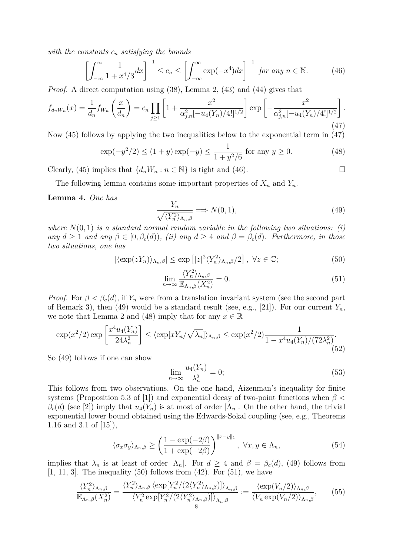*with the constants c<sup>n</sup> satisfying the bounds*

$$
\left[\int_{-\infty}^{\infty} \frac{1}{1 + x^4/3} dx\right]^{-1} \le c_n \le \left[\int_{-\infty}^{\infty} \exp(-x^4) dx\right]^{-1} \text{ for any } n \in \mathbb{N}.
$$
 (46)

*Proof.* A direct computation using  $(38)$ , Lemma 2,  $(43)$  and  $(44)$  gives that

$$
f_{d_n W_n}(x) = \frac{1}{d_n} f_{W_n} \left( \frac{x}{d_n} \right) = c_n \prod_{j \ge 1} \left[ 1 + \frac{x^2}{\alpha_{j,n}^2 [-u_4(Y_n)/4!]^{1/2}} \right] \exp \left[ -\frac{x^2}{\alpha_{j,n}^2 [-u_4(Y_n)/4!]^{1/2}} \right].
$$
\n(47)

Now (45) follows by applying the two inequalities below to the exponential term in (47)

$$
\exp(-y^2/2) \le (1+y)\exp(-y) \le \frac{1}{1+y^2/6} \text{ for any } y \ge 0.
$$
 (48)

Clearly, (45) implies that  $\{d_n W_n : n \in \mathbb{N}\}$  is tight and (46). □

The following lemma contains some important properties of  $X_n$  and  $Y_n$ .

## **Lemma 4.** *One has*

$$
\frac{Y_n}{\sqrt{\langle Y_n^2 \rangle_{\Lambda_n,\beta}}} \Longrightarrow N(0,1),\tag{49}
$$

where  $N(0, 1)$  *is a standard normal random variable in the following two situations: (i)*  $\alpha$ *any*  $d \geq 1$  *and*  $\alpha$ *ny*  $\beta \in [0, \beta_c(d))$ *, (ii)*  $\alpha$ *ny*  $d \geq 4$  *and*  $\beta = \beta_c(d)$ *. Furthermore, in those two situations, one has*

$$
|\langle \exp(zY_n) \rangle_{\Lambda_n, \beta}| \le \exp\left[|z|^2 \langle Y_n^2 \rangle_{\Lambda_n, \beta}/2\right], \ \forall z \in \mathbb{C};\tag{50}
$$

$$
\lim_{n \to \infty} \frac{\langle Y_n^2 \rangle_{\Lambda_n, \beta}}{\mathbb{E}_{\Lambda_n, \beta}(X_n^2)} = 0.
$$
\n(51)

*Proof.* For  $\beta < \beta_c(d)$ , if  $Y_n$  were from a translation invariant system (see the second part of Remark 3), then (49) would be a standard result (see, e.g., [21]). For our current  $Y_n$ , we note that Lemma 2 and (48) imply that for any  $x \in \mathbb{R}$ 

$$
\exp(x^2/2)\exp\left[\frac{x^4u_4(Y_n)}{24\lambda_n^2}\right] \le \left\langle \exp[xY_n/\sqrt{\lambda_n}] \right\rangle_{\Lambda_n,\beta} \le \exp(x^2/2)\frac{1}{1-x^4u_4(Y_n)/(72\lambda_n^2)}.\tag{52}
$$

So (49) follows if one can show

$$
\lim_{n \to \infty} \frac{u_4(Y_n)}{\lambda_n^2} = 0; \tag{53}
$$

This follows from two observations. On the one hand, Aizenman's inequality for finite systems (Proposition 5.3 of [1]) and exponential decay of two-point functions when *β <*  $\beta_c(d)$  (see [2]) imply that  $u_4(Y_n)$  is at most of order  $|\Lambda_n|$ . On the other hand, the trivial exponential lower bound obtained using the Edwards-Sokal coupling (see, e.g., Theorems 1.16 and 3.1 of [15]),

$$
\langle \sigma_x \sigma_y \rangle_{\Lambda_n, \beta} \ge \left( \frac{1 - \exp(-2\beta)}{1 + \exp(-2\beta)} \right)^{\|x - y\|_1}, \ \forall x, y \in \Lambda_n,\tag{54}
$$

implies that  $\lambda_n$  is at least of order  $|\Lambda_n|$ . For  $d \geq 4$  and  $\beta = \beta_c(d)$ , (49) follows from  $[1, 11, 3]$ . The inequality  $(50)$  follows from  $(42)$ . For  $(51)$ , we have

$$
\frac{\langle Y_n^2 \rangle_{\Lambda_n,\beta}}{\mathbb{E}_{\Lambda_n,\beta}(X_n^2)} = \frac{\langle Y_n^2 \rangle_{\Lambda_n,\beta} \langle \exp[Y_n^2/(2\langle Y_n^2 \rangle_{\Lambda_n,\beta})] \rangle_{\Lambda_n,\beta}}{\langle Y_n^2 \exp[Y_n^2/(2\langle Y_n^2 \rangle_{\Lambda_n,\beta})] \rangle_{\Lambda_n,\beta}} := \frac{\langle \exp(V_n/2) \rangle_{\Lambda_n,\beta}}{\langle V_n \exp(V_n/2) \rangle_{\Lambda_n,\beta}},\tag{55}
$$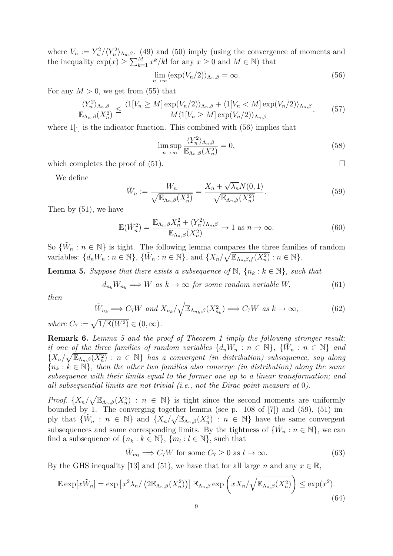where  $V_n := Y_n^2 / \langle Y_n^2 \rangle_{\Lambda_n, \beta}$ . (49) and (50) imply (using the convergence of moments and the inequality  $\exp(x) \ge \sum_{k=1}^{M} x^k / k!$  for any  $x \ge 0$  and  $M \in \mathbb{N}$ ) that

$$
\lim_{n \to \infty} \langle \exp(V_n/2) \rangle_{\Lambda_n, \beta} = \infty. \tag{56}
$$

For any  $M > 0$ , we get from (55) that

$$
\frac{\langle Y_n^2 \rangle_{\Lambda_n,\beta}}{\mathbb{E}_{\Lambda_n,\beta}(X_n^2)} \le \frac{\langle 1[V_n \ge M] \exp(V_n/2) \rangle_{\Lambda_n,\beta} + \langle 1[V_n < M] \exp(V_n/2) \rangle_{\Lambda_n,\beta}}{M \langle 1[V_n \ge M] \exp(V_n/2) \rangle_{\Lambda_n,\beta}},\tag{57}
$$

where  $1[\cdot]$  is the indicator function. This combined with  $(56)$  implies that

$$
\limsup_{n \to \infty} \frac{\langle Y_n^2 \rangle_{\Lambda_n, \beta}}{\mathbb{E}_{\Lambda_n, \beta}(X_n^2)} = 0,
$$
\n(58)

which completes the proof of  $(51)$ .

We define

$$
\tilde{W}_n := \frac{W_n}{\sqrt{\mathbb{E}_{\Lambda_n,\beta}(X_n^2)}} = \frac{X_n + \sqrt{\lambda_n} N(0,1)}{\sqrt{\mathbb{E}_{\Lambda_n,\beta}(X_n^2)}}.
$$
\n(59)

Then by (51), we have

$$
\mathbb{E}(\tilde{W}_n^2) = \frac{\mathbb{E}_{\Lambda_n,\beta}X_n^2 + \langle Y_n^2 \rangle_{\Lambda_n,\beta}}{\mathbb{E}_{\Lambda_n,\beta}(X_n^2)} \to 1 \text{ as } n \to \infty.
$$
 (60)

So  ${\{\tilde{W}_n : n \in \mathbb{N}\}}$  is tight. The following lemma compares the three families of random variables:  $\{d_n W_n : n \in \mathbb{N}\}, \{\tilde{W}_n : n \in \mathbb{N}\}, \text{ and } \{X_n/\sqrt{\mathbb{E}_{\Lambda_n,\beta,f}(X_n^2)} : n \in \mathbb{N}\}.$ 

**Lemma 5.** Suppose that there exists a subsequence of  $\mathbb{N}$ ,  $\{n_k : k \in \mathbb{N}\}\$ , such that

$$
d_{n_k} W_{n_k} \Longrightarrow W \text{ as } k \to \infty \text{ for some random variable } W,
$$
\n
$$
(61)
$$

*then*

$$
\tilde{W}_{n_k} \Longrightarrow C_7 W \text{ and } X_{n_k} / \sqrt{\mathbb{E}_{\Lambda_{n_k},\beta}(X_{n_k}^2)} \Longrightarrow C_7 W \text{ as } k \to \infty,
$$
\n(62)

 $where C_7 := \sqrt{1/\mathbb{E}(W^2)} \in (0, \infty)$ .

**Remark 6.** *Lemma 5 and the proof of Theorem 1 imply the following stronger result: if one of the three families of random variables*  $\{d_n W_n : n \in \mathbb{N}\}\$  and  $\{X_n/\sqrt{\mathbb{E}_{\Lambda_n,\beta}(X_n^2)} : n \in \mathbb{N}\}\$  *has a convergent (in distribution) subsequence, say along*  ${n_k : k \in \mathbb{N}}$ , then the other two families also converge (in distribution) along the same *subsequence with their limits equal to the former one up to a linear transformation; and all subsequential limits are not trivial (i.e., not the Dirac point measure at* 0*).*

*Proof.*  $\{X_n/\sqrt{\mathbb{E}_{\Lambda_n,\beta}(X_n^2)} : n \in \mathbb{N}\}\$ is tight since the second moments are uniformly bounded by 1. The converging together lemma (see p. 108 of [7]) and (59), (51) imply that  ${\{\widetilde{W}_n : n \in \mathbb{N}\}\}$  and  ${\{X_n/\sqrt{\mathbb{E}_{\Lambda_n,\beta}(X_n^2)} : n \in \mathbb{N}\}}$  have the same convergent subsequences and same corresponding limits. By the tightness of  $\{\tilde{W}_n : n \in \mathbb{N}\}\)$ , we can find a subsequence of  $\{n_k : k \in \mathbb{N}\}, \{m_l : l \in \mathbb{N}\},\$  such that

$$
\tilde{W}_{m_l} \Longrightarrow C_7 W \text{ for some } C_7 \ge 0 \text{ as } l \to \infty. \tag{63}
$$

By the GHS inequality [13] and (51), we have that for all large *n* and any  $x \in \mathbb{R}$ ,

$$
\mathbb{E}\exp[x\tilde{W}_n] = \exp\left[x^2\lambda_n/\left(2\mathbb{E}_{\Lambda_n,\beta}(X_n^2)\right)\right]\mathbb{E}_{\Lambda_n,\beta}\exp\left(xX_n/\sqrt{\mathbb{E}_{\Lambda_n,\beta}(X_n^2)}\right) \leq \exp(x^2).
$$
\n(64)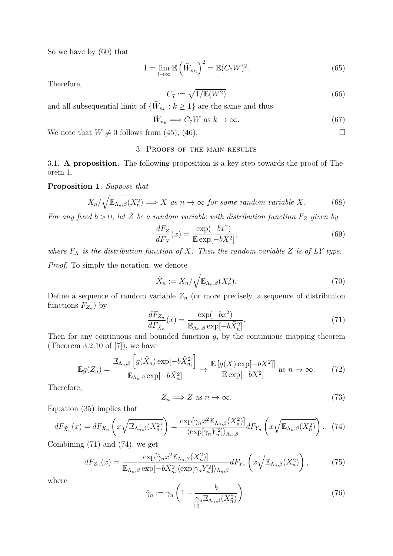So we have by (60) that

$$
1 = \lim_{l \to \infty} \mathbb{E}\left(\tilde{W}_{m_l}\right)^2 = \mathbb{E}(C_7 W)^2. \tag{65}
$$

Therefore,

$$
C_7 := \sqrt{1/\mathbb{E}(W^2)}\tag{66}
$$

and all subsequential limit of  $\{\tilde{W}_{n_k}: k \geq 1\}$  are the same and thus

$$
\tilde{W}_{n_k} \Longrightarrow C_7 W \text{ as } k \to \infty. \tag{67}
$$

We note that  $W \neq 0$  follows from (45), (46).

## 3. Proofs of the main results

3.1. **A proposition.** The following proposition is a key step towards the proof of Theorem 1.

**Proposition 1.** *Suppose that*

$$
X_n/\sqrt{\mathbb{E}_{\Lambda_n,\beta}(X_n^2)} \Longrightarrow X \text{ as } n \to \infty \text{ for some random variable } X. \tag{68}
$$

*For any fixed*  $b > 0$ *, let Z be a random variable with distribution function*  $F_Z$  *given by* 

$$
\frac{dF_Z}{dF_X}(x) = \frac{\exp(-bx^2)}{\mathbb{E}\exp[-bX^2]},
$$
\n(69)

*where*  $F_X$  *is the distribution function of*  $X$ *. Then the random variable*  $Z$  *is of LY type. Proof.* To simply the notation, we denote

$$
\tilde{X}_n := X_n / \sqrt{\mathbb{E}_{\Lambda_n, \beta}(X_n^2)}.
$$
\n(70)

Define a sequence of random variable  $Z_n$  (or more precisely, a sequence of distribution functions  $F_{Z_n}$ ) by

$$
\frac{dF_{Z_n}}{dF_{\tilde{X}_n}}(x) = \frac{\exp(-bx^2)}{\mathbb{E}_{\Lambda_n,\beta}\exp[-b\tilde{X}_n^2]}.
$$
\n(71)

Then for any continuous and bounded function *g*, by the continuous mapping theorem (Theorem 3.2.10 of [7]), we have

$$
\mathbb{E}g(Z_n) = \frac{\mathbb{E}_{\Lambda_n,\beta}\left[g(\tilde{X}_n)\exp[-b\tilde{X}_n^2]\right]}{\mathbb{E}_{\Lambda_n,\beta}\exp[-b\tilde{X}_n^2]} \to \frac{\mathbb{E}\left[g(X)\exp[-bX^2]\right]}{\mathbb{E}\exp[-bX^2]} \text{ as } n \to \infty. \tag{72}
$$

Therefore,

$$
Z_n \Longrightarrow Z \text{ as } n \to \infty. \tag{73}
$$

Equation (35) implies that

$$
dF_{\tilde{X}_n}(x) = dF_{X_n}\left(x\sqrt{\mathbb{E}_{\Lambda_n,\beta}(X_n^2)}\right) = \frac{\exp[\gamma_n x^2 \mathbb{E}_{\Lambda_n,\beta}(X_n^2)]}{\langle \exp[\gamma_n Y_n^2] \rangle_{\Lambda_n,\beta}} dF_{Y_n}\left(x\sqrt{\mathbb{E}_{\Lambda_n,\beta}(X_n^2)}\right).
$$
 (74)

Combining (71) and (74), we get

$$
dF_{Z_n}(x) = \frac{\exp[\hat{\gamma}_n x^2 \mathbb{E}_{\Lambda_n,\beta}(X_n^2)]}{\mathbb{E}_{\Lambda_n,\beta} \exp[-b\tilde{X}_n^2] \langle \exp[\gamma_n Y_n^2] \rangle_{\Lambda_n,\beta}} dF_{Y_n}\left(x\sqrt{\mathbb{E}_{\Lambda_n,\beta}(X_n^2)}\right),\tag{75}
$$

where

$$
\hat{\gamma}_n := \gamma_n \left( 1 - \frac{b}{\gamma_n \mathbb{E}_{\Lambda_n, \beta}(X_n^2)} \right). \tag{76}
$$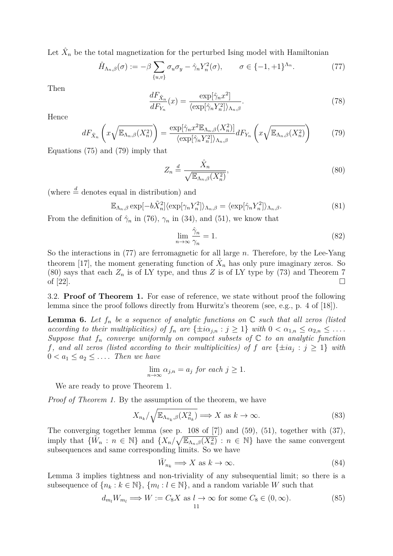Let  $\hat{X}_n$  be the total magnetization for the perturbed Ising model with Hamiltonian

$$
\hat{H}_{\Lambda_n,\beta}(\sigma) := -\beta \sum_{\{u,v\}} \sigma_u \sigma_y - \hat{\gamma}_n Y_n^2(\sigma), \qquad \sigma \in \{-1,+1\}^{\Lambda_n}.
$$
 (77)

Then

$$
\frac{dF_{\hat{X}_n}}{dF_{Y_n}}(x) = \frac{\exp[\hat{\gamma}_n x^2]}{\langle \exp[\hat{\gamma}_n Y_n^2] \rangle_{\Lambda_n, \beta}}.\tag{78}
$$

Hence

$$
dF_{\hat{X}_n}\left(x\sqrt{\mathbb{E}_{\Lambda_n,\beta}(X_n^2)}\right) = \frac{\exp[\hat{\gamma}_n x^2 \mathbb{E}_{\Lambda_n,\beta}(X_n^2)]}{\langle \exp[\hat{\gamma}_n Y_n^2] \rangle_{\Lambda_n,\beta}} dF_{Y_n}\left(x\sqrt{\mathbb{E}_{\Lambda_n,\beta}(X_n^2)}\right) \tag{79}
$$

Equations (75) and (79) imply that

$$
Z_n \stackrel{d}{=} \frac{\hat{X}_n}{\sqrt{\mathbb{E}_{\Lambda_n,\beta}(X_n^2)}},\tag{80}
$$

(where  $\stackrel{d}{=}$  denotes equal in distribution) and

$$
\mathbb{E}_{\Lambda_n,\beta} \exp[-b\tilde{X}_n^2] \langle \exp[\gamma_n Y_n^2] \rangle_{\Lambda_n,\beta} = \langle \exp[\hat{\gamma}_n Y_n^2] \rangle_{\Lambda_n,\beta}.
$$
\n(81)

From the definition of  $\hat{\gamma}_n$  in (76),  $\gamma_n$  in (34), and (51), we know that

$$
\lim_{n \to \infty} \frac{\hat{\gamma}_n}{\gamma_n} = 1. \tag{82}
$$

So the interactions in (77) are ferromagnetic for all large *n*. Therefore, by the Lee-Yang theorem [17], the moment generating function of  $\hat{X}_n$  has only pure imaginary zeros. So (80) says that each  $Z_n$  is of LY type, and thus  $Z$  is of LY type by (73) and Theorem 7 of  $[22]$ .

3.2. **Proof of Theorem 1.** For ease of reference, we state without proof the following lemma since the proof follows directly from Hurwitz's theorem (see, e.g., p. 4 of [18]).

**Lemma 6.** Let  $f_n$  be a sequence of analytic functions on  $\mathbb C$  such that all zeros (listed according to their multiplicities) of  $f_n$  are  $\{\pm i\alpha_{j,n} : j \geq 1\}$  with  $0 < \alpha_{1,n} \leq \alpha_{2,n} \leq \ldots$ *Suppose that*  $f_n$  *converge uniformly on compact subsets of*  $\mathbb C$  *to an analytic function f*, and all zeros (listed according to their multiplicities) of *f* are  $\{\pm ia_j : j \geq 1\}$  with  $0 < a_1 \leq a_2 \leq \ldots$  *Then we have* 

$$
\lim_{n \to \infty} \alpha_{j,n} = a_j \text{ for each } j \ge 1.
$$

We are ready to prove Theorem 1.

*Proof of Theorem 1.* By the assumption of the theorem, we have

$$
X_{n_k}/\sqrt{\mathbb{E}_{\Lambda_{n_k},\beta}(X_{n_k}^2)} \Longrightarrow X \text{ as } k \to \infty.
$$
 (83)

The converging together lemma (see p. 108 of [7]) and (59), (51), together with (37), imply that  $\{\tilde{W}_n : n \in \mathbb{N}\}\$  and  $\{X_n/\sqrt{\mathbb{E}_{\Lambda_n,\beta}(X_n^2)} : n \in \mathbb{N}\}\$  have the same convergent subsequences and same corresponding limits. So we have

$$
\tilde{W}_{n_k} \Longrightarrow X \text{ as } k \to \infty. \tag{84}
$$

Lemma 3 implies tightness and non-triviality of any subsequential limit; so there is a subsequence of  $\{n_k : k \in \mathbb{N}\}, \{m_l : l \in \mathbb{N}\},\$  and a random variable *W* such that

$$
d_{m_l} W_{m_l} \Longrightarrow W := C_8 X \text{ as } l \to \infty \text{ for some } C_8 \in (0, \infty).
$$
 (85)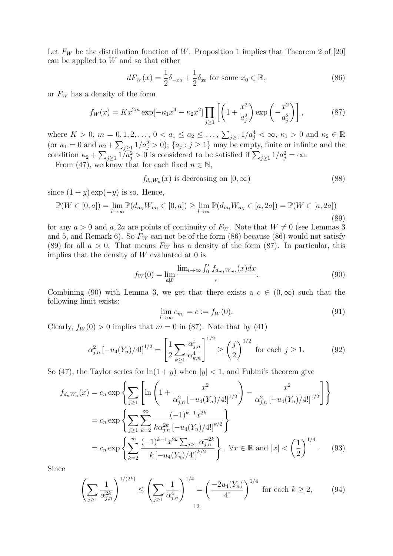Let  $F_W$  be the distribution function of W. Proposition 1 implies that Theorem 2 of [20] can be applied to *W* and so that either

$$
dF_W(x) = \frac{1}{2}\delta_{-x_0} + \frac{1}{2}\delta_{x_0} \text{ for some } x_0 \in \mathbb{R},
$$
\n(86)

or  $F_W$  has a density of the form

$$
f_W(x) = Kx^{2m} \exp[-\kappa_1 x^4 - \kappa_2 x^2] \prod_{j \ge 1} \left[ \left( 1 + \frac{x^2}{a_j^2} \right) \exp\left( -\frac{x^2}{a_j^2} \right) \right],
$$
 (87)

where  $K > 0$ ,  $m = 0, 1, 2, ..., 0 < a_1 \le a_2 \le ...$ ,  $\sum_{j \ge 1} 1/a_j^4 < \infty$ ,  $\kappa_1 > 0$  and  $\kappa_2 \in \mathbb{R}$ (or  $\kappa_1 = 0$  and  $\kappa_2 + \sum_{j\geq 1} 1/a_j^2 > 0$ );  $\{a_j : j \geq 1\}$  may be empty, finite or infinite and the condition  $\kappa_2 + \sum_{j\geq 1} 1/\bar{a}_j^2 > 0$  is considered to be satisfied if  $\sum_{j\geq 1} 1/a_j^2 = \infty$ .

From (47), we know that for each fixed  $n \in \mathbb{N}$ ,

$$
f_{d_n W_n}(x) \text{ is decreasing on } [0, \infty)
$$
\n(88)

since  $(1 + y) \exp(-y)$  is so. Hence,

$$
\mathbb{P}(W \in [0, a]) = \lim_{l \to \infty} \mathbb{P}(d_{m_l} W_{m_l} \in [0, a]) \ge \lim_{l \to \infty} \mathbb{P}(d_{m_l} W_{m_l} \in [a, 2a]) = \mathbb{P}(W \in [a, 2a])
$$
\n(89)

for any  $a > 0$  and  $a, 2a$  are points of continuity of  $F_W$ . Note that  $W \neq 0$  (see Lemmas 3 and 5, and Remark 6). So  $F_W$  can not be of the form  $(86)$  because  $(86)$  would not satisfy (89) for all  $a > 0$ . That means  $F_W$  has a density of the form (87). In particular, this implies that the density of *W* evaluated at 0 is

$$
f_W(0) = \lim_{\epsilon \downarrow 0} \frac{\lim_{l \to \infty} \int_0^{\epsilon} f_{d_{m_l}W_{m_l}}(x) dx}{\epsilon}.
$$
\n(90)

Combining (90) with Lemma 3, we get that there exists a  $c \in (0,\infty)$  such that the following limit exists:

$$
\lim_{l \to \infty} c_{m_l} = c := f_W(0). \tag{91}
$$

Clearly,  $f_W(0) > 0$  implies that  $m = 0$  in (87). Note that by (41)

$$
\alpha_{j,n}^2 \left[ -u_4(Y_n)/4! \right]^{1/2} = \left[ \frac{1}{2} \sum_{k \ge 1} \frac{\alpha_{j,n}^4}{\alpha_{k,n}^4} \right]^{1/2} \ge \left( \frac{j}{2} \right)^{1/2} \text{ for each } j \ge 1.
$$
 (92)

So (47), the Taylor series for  $\ln(1 + y)$  when  $|y| < 1$ , and Fubini's theorem give

$$
f_{d_n W_n}(x) = c_n \exp \left\{ \sum_{j\geq 1} \left[ \ln \left( 1 + \frac{x^2}{\alpha_{j,n}^2 \left[ -u_4(Y_n)/4! \right]^{1/2}} \right) - \frac{x^2}{\alpha_{j,n}^2 \left[ -u_4(Y_n)/4! \right]^{1/2}} \right] \right\}
$$
  
=  $c_n \exp \left\{ \sum_{j\geq 1} \sum_{k=2}^{\infty} \frac{(-1)^{k-1} x^{2k}}{k \alpha_{j,n}^{2k} \left[ -u_4(Y_n)/4! \right]^{k/2}} \right\}$   
=  $c_n \exp \left\{ \sum_{k=2}^{\infty} \frac{(-1)^{k-1} x^{2k} \sum_{j\geq 1} \alpha_{j,n}^{-2k}}{k \left[ -u_4(Y_n)/4! \right]^{k/2}} \right\}, \forall x \in \mathbb{R} \text{ and } |x| < \left( \frac{1}{2} \right)^{1/4}.$  (93)

Since

$$
\left(\sum_{j\geq 1} \frac{1}{\alpha_{j,n}^{2k}}\right)^{1/(2k)} \leq \left(\sum_{j\geq 1} \frac{1}{\alpha_{j,n}^4}\right)^{1/4} = \left(\frac{-2u_4(Y_n)}{4!}\right)^{1/4} \text{ for each } k \geq 2,
$$
 (94)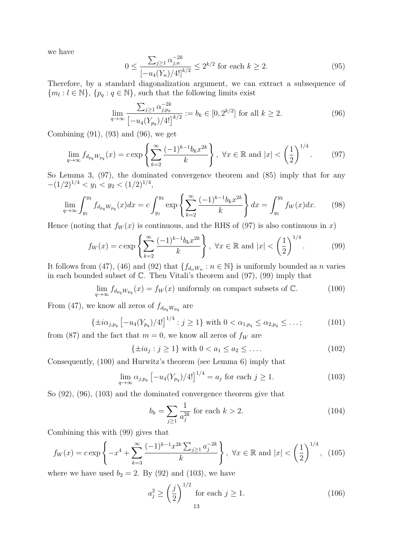we have

$$
0 \le \frac{\sum_{j\ge 1} \alpha_{j,n}^{-2k}}{\left[-u_4(Y_n)/4!\right]^{k/2}} \le 2^{k/2} \text{ for each } k \ge 2. \tag{95}
$$

Therefore, by a standard diagonalization argument, we can extract a subsequence of  ${m_l : l \in \mathbb{N}}$ ,  ${p_q : q \in \mathbb{N}}$ , such that the following limits exist

$$
\lim_{q \to \infty} \frac{\sum_{j\geq 1} \alpha_{j,p_q}^{-2k}}{\left[-u_4(Y_{p_q})/4! \right]^{k/2}} := b_k \in [0, 2^{k/2}] \text{ for all } k \geq 2.
$$
 (96)

Combining (91), (93) and (96), we get

$$
\lim_{q \to \infty} f_{d_{pq}W_{pq}}(x) = c \exp\left\{ \sum_{k=2}^{\infty} \frac{(-1)^{k-1} b_k x^{2k}}{k} \right\}, \ \forall x \in \mathbb{R} \text{ and } |x| < \left(\frac{1}{2}\right)^{1/4}.\tag{97}
$$

So Lemma 3, (97), the dominated convergence theorem and (85) imply that for any *−*(1*/*2)<sup>1</sup>*/*<sup>4</sup> *< y*<sup>1</sup> *< y*<sup>2</sup> *<* (1*/*2)<sup>1</sup>*/*<sup>4</sup> ,

$$
\lim_{q \to \infty} \int_{y_1}^{y_2} f_{d_{p_q} W_{p_q}}(x) dx = c \int_{y_1}^{y_2} \exp \left\{ \sum_{k=2}^{\infty} \frac{(-1)^{k-1} b_k x^{2k}}{k} \right\} dx = \int_{y_1}^{y_2} f_W(x) dx. \tag{98}
$$

Hence (noting that  $f_W(x)$  is continuous, and the RHS of (97) is also continuous in *x*)

$$
f_W(x) = c \exp\left\{ \sum_{k=2}^{\infty} \frac{(-1)^{k-1} b_k x^{2k}}{k} \right\}, \ \forall x \in \mathbb{R} \text{ and } |x| < \left(\frac{1}{2}\right)^{1/4}.\tag{99}
$$

It follows from (47), (46) and (92) that  $\{f_{d_nW_n} : n \in \mathbb{N}\}\$  is uniformly bounded as *n* varies in each bounded subset of  $\mathbb{C}$ . Then Vitali's theorem and (97), (99) imply that

$$
\lim_{q \to \infty} f_{d_{pq}W_{pq}}(x) = f_W(x) \text{ uniformly on compact subsets of } \mathbb{C}. \tag{100}
$$

From (47), we know all zeros of  $f_{d_{pq}W_{pq}}$  are

$$
\{\pm i\alpha_{j,p_q}\left[-u_4(Y_{p_q})/4!\right]^{1/4} : j \ge 1\} \text{ with } 0 < \alpha_{1,p_q} \le \alpha_{2,p_q} \le \dots; \tag{101}
$$

from (87) and the fact that  $m = 0$ , we know all zeros of  $f_W$  are

$$
\{\pm ia_j : j \ge 1\} \text{ with } 0 < a_1 \le a_2 \le \dots \tag{102}
$$

Consequently, (100) and Hurwitz's theorem (see Lemma 6) imply that

$$
\lim_{q \to \infty} \alpha_{j, p_q} \left[ -u_4(Y_{p_q})/4! \right]^{1/4} = a_j \text{ for each } j \ge 1.
$$
 (103)

So (92), (96), (103) and the dominated convergence theorem give that

$$
b_k = \sum_{j \ge 1} \frac{1}{a_j^{2k}} \text{ for each } k > 2.
$$
 (104)

Combining this with (99) gives that

$$
f_W(x) = c \exp\left\{-x^4 + \sum_{k=3}^{\infty} \frac{(-1)^{k-1} x^{2k} \sum_{j\geq 1} a_j^{-2k}}{k}\right\}, \ \forall x \in \mathbb{R} \text{ and } |x| < \left(\frac{1}{2}\right)^{1/4}, \ (105)
$$

where we have used  $b_2 = 2$ . By (92) and (103), we have

$$
a_j^2 \ge \left(\frac{j}{2}\right)^{1/2} \text{ for each } j \ge 1.
$$
 (106)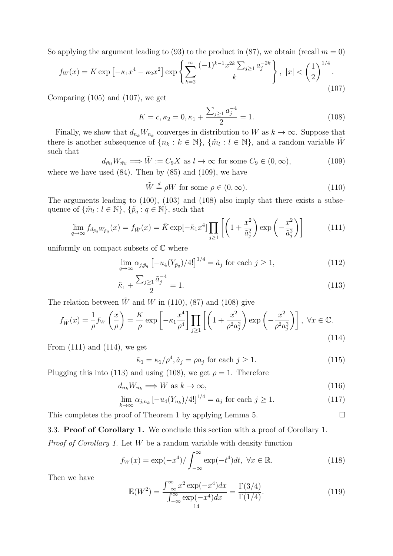So applying the argument leading to  $(93)$  to the product in  $(87)$ , we obtain (recall  $m = 0$ )

$$
f_W(x) = K \exp\left[-\kappa_1 x^4 - \kappa_2 x^2\right] \exp\left\{\sum_{k=2}^{\infty} \frac{(-1)^{k-1} x^{2k} \sum_{j\geq 1} a_j^{-2k}}{k}\right\}, \ |x| < \left(\frac{1}{2}\right)^{1/4}.\tag{107}
$$

Comparing (105) and (107), we get

$$
K = c, \kappa_2 = 0, \kappa_1 + \frac{\sum_{j\geq 1} a_j^{-4}}{2} = 1.
$$
 (108)

Finally, we show that  $d_{n_k}W_{n_k}$  converges in distribution to *W* as  $k \to \infty$ . Suppose that there is another subsequence of  $\{n_k : k \in \mathbb{N}\}, \{\tilde{m}_l : l \in \mathbb{N}\},\$  and a random variable  $\tilde{W}$ such that

$$
d_{\tilde{m}_l} W_{\tilde{m}_l} \Longrightarrow \tilde{W} := C_9 X \text{ as } l \to \infty \text{ for some } C_9 \in (0, \infty),
$$
  
where we have used (84). Then by (85) and (109), we have

$$
\tilde{W} \stackrel{d}{=} \rho W \text{ for some } \rho \in (0, \infty). \tag{110}
$$

The arguments leading to (100), (103) and (108) also imply that there exists a subsequence of  $\{\tilde{m}_l : l \in \mathbb{N}\}, \{\tilde{p}_q : q \in \mathbb{N}\},\$  such that

$$
\lim_{q \to \infty} f_{d_{\tilde{p}_q} W_{\tilde{p}_q}}(x) = f_{\tilde{W}}(x) = \tilde{K} \exp[-\tilde{\kappa}_1 x^4] \prod_{j \ge 1} \left[ \left( 1 + \frac{x^2}{\tilde{a}_j^2} \right) \exp\left( -\frac{x^2}{\tilde{a}_j^2} \right) \right]
$$
(111)

uniformly on compact subsets of  $\mathbb C$  where

$$
\lim_{q \to \infty} \alpha_{j, \tilde{p}_q} \left[ -u_4(Y_{\tilde{p}_q})/4! \right]^{1/4} = \tilde{a}_j \text{ for each } j \ge 1,
$$
\n(112)

$$
\tilde{\kappa}_1 + \frac{\sum_{j\geq 1} \tilde{a}_j^{-4}}{2} = 1.
$$
\n(113)

The relation between  $\tilde{W}$  and *W* in (110), (87) and (108) give

$$
f_{\tilde{W}}(x) = \frac{1}{\rho} f_W\left(\frac{x}{\rho}\right) = \frac{K}{\rho} \exp\left[-\kappa_1 \frac{x^4}{\rho^4}\right] \prod_{j\geq 1} \left[\left(1 + \frac{x^2}{\rho^2 a_j^2}\right) \exp\left(-\frac{x^2}{\rho^2 a_j^2}\right)\right], \ \forall x \in \mathbb{C}.
$$
\n(114)

From (111) and (114), we get

$$
\tilde{\kappa}_1 = \kappa_1 / \rho^4, \tilde{a}_j = \rho a_j \text{ for each } j \ge 1.
$$
\n(115)

Plugging this into (113) and using (108), we get  $\rho = 1$ . Therefore

$$
d_{n_k} W_{n_k} \Longrightarrow W \text{ as } k \to \infty,
$$
\n(116)

$$
\lim_{k \to \infty} \alpha_{j,n_k} \left[ -u_4(Y_{n_k})/4! \right]^{1/4} = a_j \text{ for each } j \ge 1.
$$
 (117)

This completes the proof of Theorem 1 by applying Lemma 5.  $\Box$ 

# 3.3. **Proof of Corollary 1.** We conclude this section with a proof of Corollary 1.

*Proof of Corollary 1.* Let *W* be a random variable with density function

$$
f_W(x) = \exp(-x^4) / \int_{-\infty}^{\infty} \exp(-t^4) dt, \ \forall x \in \mathbb{R}.
$$
 (118)

Then we have

$$
\mathbb{E}(W^2) = \frac{\int_{-\infty}^{\infty} x^2 \exp(-x^4) dx}{\int_{-\infty}^{\infty} \exp(-x^4) dx} = \frac{\Gamma(3/4)}{\Gamma(1/4)}.
$$
(119)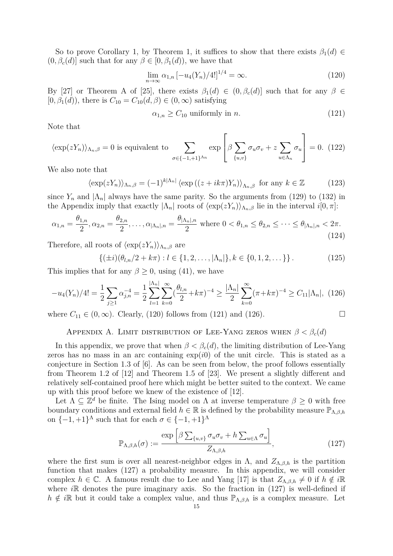So to prove Corollary 1, by Theorem 1, it suffices to show that there exists  $\beta_1(d) \in$  $(0, \beta_c(d)]$  such that for any  $\beta \in [0, \beta_1(d))$ , we have that

$$
\lim_{n \to \infty} \alpha_{1,n} \left[ -u_4(Y_n) / 4! \right]^{1/4} = \infty.
$$
\n(120)

By [27] or Theorem A of [25], there exists  $\beta_1(d) \in (0, \beta_c(d)]$  such that for any  $\beta \in$  $[0, \beta_1(d))$ , there is  $C_{10} = C_{10}(d, \beta) \in (0, \infty)$  satisfying

$$
\alpha_{1,n} \ge C_{10} \text{ uniformly in } n. \tag{121}
$$

Note that

$$
\langle \exp(zY_n) \rangle_{\Lambda_n, \beta} = 0 \text{ is equivalent to } \sum_{\sigma \in \{-1, +1\}^{\Lambda_n}} \exp \left[ \beta \sum_{\{u, v\}} \sigma_u \sigma_v + z \sum_{u \in \Lambda_n} \sigma_u \right] = 0. \tag{122}
$$

We also note that

$$
\langle \exp(zY_n) \rangle_{\Lambda_n, \beta} = (-1)^{k|\Lambda_n|} \langle \exp((z + ik\pi)Y_n) \rangle_{\Lambda_n, \beta} \text{ for any } k \in \mathbb{Z}
$$
 (123)

 $\mathbf{r}$ 

since  $Y_n$  and  $|\Lambda_n|$  always have the same parity. So the arguments from (129) to (132) in the Appendix imply that exactly  $|\Lambda_n|$  roots of  $\langle \exp(zY_n) \rangle_{\Lambda_n, \beta}$  lie in the interval  $i[0, \pi]$ :

$$
\alpha_{1,n} = \frac{\theta_{1,n}}{2}, \alpha_{2,n} = \frac{\theta_{2,n}}{2}, \dots, \alpha_{|\Lambda_n|,n} = \frac{\theta_{|\Lambda_n|,n}}{2} \text{ where } 0 < \theta_{1,n} \le \theta_{2,n} \le \dots \le \theta_{|\Lambda_n|,n} < 2\pi. \tag{124}
$$

Therefore, all roots of  $\langle \exp(zY_n) \rangle_{\Lambda_n, \beta}$  are

$$
\{(\pm i)(\theta_{l,n}/2 + k\pi) : l \in \{1, 2, ..., |\Lambda_n|\}, k \in \{0, 1, 2, ...\}\}.
$$
 (125)

This implies that for any  $\beta \geq 0$ , using (41), we have

$$
-u_4(Y_n)/4! = \frac{1}{2} \sum_{j\geq 1} \alpha_{j,n}^{-4} = \frac{1}{2} \sum_{l=1}^{|{\Lambda_n}|} \sum_{k=0}^{\infty} (\frac{\theta_{l,n}}{2} + k\pi)^{-4} \geq \frac{|{\Lambda_n}|}{2} \sum_{k=0}^{\infty} (\pi + k\pi)^{-4} \geq C_{11} |{\Lambda_n}|, \tag{126}
$$

where  $C_{11} \in (0, \infty)$ . Clearly, (120) follows from (121) and (126).

APPENDIX A. LIMIT DISTRIBUTION OF LEE-YANG ZEROS WHEN  $\beta < \beta_c(d)$ 

In this appendix, we prove that when  $\beta < \beta_c(d)$ , the limiting distribution of Lee-Yang zeros has no mass in an arc containing  $\exp(i0)$  of the unit circle. This is stated as a conjecture in Section 1.3 of [6]. As can be seen from below, the proof follows essentially from Theorem 1.2 of [12] and Theorem 1.5 of [23]. We present a slightly different and relatively self-contained proof here which might be better suited to the context. We came up with this proof before we knew of the existence of [12].

Let  $\Lambda \subseteq \mathbb{Z}^d$  be finite. The Ising model on  $\Lambda$  at inverse temperature  $\beta \geq 0$  with free boundary conditions and external field  $h \in \mathbb{R}$  is defined by the probability measure  $\mathbb{P}_{\Lambda,\beta,h}$ on  $\{-1, +1\}^{\Lambda}$  such that for each  $\sigma \in \{-1, +1\}^{\Lambda}$ 

$$
\mathbb{P}_{\Lambda,\beta,h}(\sigma) := \frac{\exp\left[\beta \sum_{\{u,v\}} \sigma_u \sigma_v + h \sum_{u \in \Lambda} \sigma_u\right]}{Z_{\Lambda,\beta,h}},\tag{127}
$$

where the first sum is over all nearest-neighbor edges in  $\Lambda$ , and  $Z_{\Lambda,\beta,h}$  is the partition function that makes (127) a probability measure. In this appendix, we will consider complex  $h \in \mathbb{C}$ . A famous result due to Lee and Yang [17] is that  $Z_{\Lambda,\beta,h} \neq 0$  if  $h \notin i\mathbb{R}$ where *i*R denotes the pure imaginary axis. So the fraction in (127) is well-defined if  $h \notin i\mathbb{R}$  but it could take a complex value, and thus  $\mathbb{P}_{\Lambda,\beta,h}$  is a complex measure. Let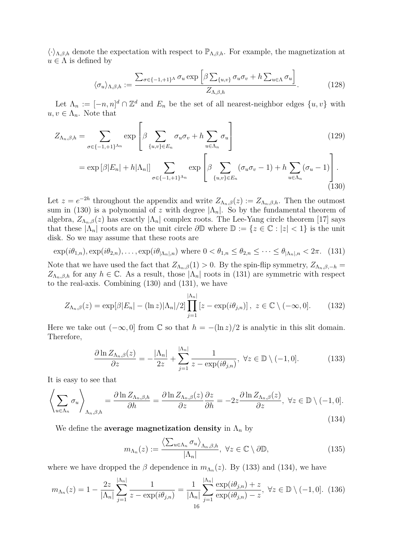*⟨·⟩*Λ*,β,h* denote the expectation with respect to PΛ*,β,h*. For example, the magnetization at  $u \in \Lambda$  is defined by

$$
\langle \sigma_u \rangle_{\Lambda, \beta, h} := \frac{\sum_{\sigma \in \{-1, +1\}^{\Lambda}} \sigma_u \exp \left[ \beta \sum_{\{u, v\}} \sigma_u \sigma_v + h \sum_{u \in \Lambda} \sigma_u \right]}{Z_{\Lambda, \beta, h}}.
$$
(128)

Let  $\Lambda_n := [-n, n]^d \cap \mathbb{Z}^d$  and  $E_n$  be the set of all nearest-neighbor edges  $\{u, v\}$  with  $u, v \in \Lambda_n$ . Note that

$$
Z_{\Lambda_n,\beta,h} = \sum_{\sigma \in \{-1,+1\}^{\Lambda_n}} \exp \left[ \beta \sum_{\{u,v\} \in E_n} \sigma_u \sigma_v + h \sum_{u \in \Lambda_n} \sigma_u \right]
$$
(129)

$$
= \exp\left[\beta |E_n| + h|\Lambda_n|\right] \sum_{\sigma \in \{-1, +1\}^{\Lambda_n}} \exp\left[\beta \sum_{\{u,v\} \in E_n} (\sigma_u \sigma_v - 1) + h \sum_{u \in \Lambda_n} (\sigma_u - 1) \right].
$$
\n(130)

Let  $z = e^{-2h}$  throughout the appendix and write  $Z_{\Lambda_n,\beta}(z) := Z_{\Lambda_n,\beta,h}$ . Then the outmost sum in (130) is a polynomial of *z* with degree  $|\Lambda_n|$ . So by the fundamental theorem of algebra,  $Z_{\Lambda_n,\beta}(z)$  has exactly  $|\Lambda_n|$  complex roots. The Lee-Yang circle theorem [17] says that these  $|\Lambda_n|$  roots are on the unit circle  $\partial\mathbb{D}$  where  $\mathbb{D} := \{z \in \mathbb{C} : |z| < 1\}$  is the unit disk. So we may assume that these roots are

$$
\exp(i\theta_{1,n}), \exp(i\theta_{2,n}), \dots, \exp(i\theta_{|\Lambda_n|,n}) \text{ where } 0 < \theta_{1,n} \le \theta_{2,n} \le \dots \le \theta_{|\Lambda_n|,n} < 2\pi. \tag{131}
$$

Note that we have used the fact that  $Z_{\Lambda_n,\beta}(1) > 0$ . By the spin-flip symmetry,  $Z_{\Lambda_n,\beta,-h} =$ *Z*<sub>Λ*n*</sub>*,β*,*h* for any *h* ∈ ℂ. As a result, those  $|Λ$ <sub>*n*</sub> $|$  roots in (131) are symmetric with respect to the real-axis. Combining (130) and (131), we have

$$
Z_{\Lambda_n,\beta}(z) = \exp[\beta|E_n| - (\ln z)|\Lambda_n|/2] \prod_{j=1}^{|\Lambda_n|} [z - \exp(i\theta_{j,n})], \ z \in \mathbb{C} \setminus (-\infty, 0]. \tag{132}
$$

Here we take out  $(-\infty, 0]$  from  $\mathbb C$  so that  $h = -(\ln z)/2$  is analytic in this slit domain. Therefore,

$$
\frac{\partial \ln Z_{\Lambda_n,\beta}(z)}{\partial z} = -\frac{|\Lambda_n|}{2z} + \sum_{j=1}^{|\Lambda_n|} \frac{1}{z - \exp(i\theta_{j,n})}, \ \forall z \in \mathbb{D} \setminus (-1,0]. \tag{133}
$$

It is easy to see that

$$
\left\langle \sum_{u \in \Lambda_n} \sigma_u \right\rangle_{\Lambda_n, \beta, h} = \frac{\partial \ln Z_{\Lambda_n, \beta, h}}{\partial h} = \frac{\partial \ln Z_{\Lambda_n, \beta}(z)}{\partial z} \frac{\partial z}{\partial h} = -2z \frac{\partial \ln Z_{\Lambda_n, \beta}(z)}{\partial z}, \ \forall z \in \mathbb{D} \setminus (-1, 0].
$$
\n(134)

We define the **average magnetization density** in  $\Lambda_n$  by

$$
m_{\Lambda_n}(z) := \frac{\langle \sum_{u \in \Lambda_n} \sigma_u \rangle_{\Lambda_n, \beta, h}}{|\Lambda_n|}, \ \forall z \in \mathbb{C} \setminus \partial \mathbb{D}, \tag{135}
$$

where we have dropped the  $\beta$  dependence in  $m_{\Lambda_n}(z)$ . By (133) and (134), we have

$$
m_{\Lambda_n}(z) = 1 - \frac{2z}{|\Lambda_n|} \sum_{j=1}^{|\Lambda_n|} \frac{1}{z - \exp(i\theta_{j,n})} = \frac{1}{|\Lambda_n|} \sum_{j=1}^{|\Lambda_n|} \frac{\exp(i\theta_{j,n}) + z}{\exp(i\theta_{j,n}) - z}, \ \forall z \in \mathbb{D} \setminus (-1, 0]. \tag{136}
$$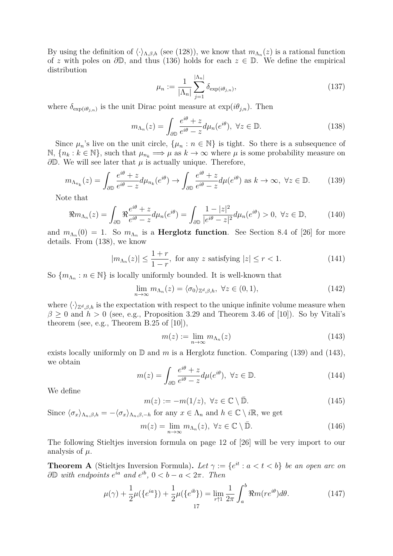By using the definition of  $\langle \cdot \rangle_{\Lambda,\beta,h}$  (see (128)), we know that  $m_{\Lambda_n}(z)$  is a rational function of *z* with poles on *∂*D, and thus (136) holds for each *z ∈* D. We define the empirical distribution

$$
\mu_n := \frac{1}{|\Lambda_n|} \sum_{j=1}^{|\Lambda_n|} \delta_{\exp(i\theta_{j,n})},\tag{137}
$$

where  $\delta_{\exp(i\theta_{j,n})}$  is the unit Dirac point measure at  $\exp(i\theta_{j,n})$ . Then

$$
m_{\Lambda_n}(z) = \int_{\partial \mathbb{D}} \frac{e^{i\theta} + z}{e^{i\theta} - z} d\mu_n(e^{i\theta}), \ \forall z \in \mathbb{D}.
$$
 (138)

Since  $\mu_n$ 's live on the unit circle,  $\{\mu_n : n \in \mathbb{N}\}\$ is tight. So there is a subsequence of  $\mathbb{N}, \{n_k : k \in \mathbb{N}\},\$  such that  $\mu_{n_k} \Longrightarrow \mu$  as  $k \to \infty$  where  $\mu$  is some probability measure on *∂*D. We will see later that *µ* is actually unique. Therefore,

$$
m_{\Lambda_{n_k}}(z) = \int_{\partial \mathbb{D}} \frac{e^{i\theta} + z}{e^{i\theta} - z} d\mu_{n_k}(e^{i\theta}) \to \int_{\partial \mathbb{D}} \frac{e^{i\theta} + z}{e^{i\theta} - z} d\mu(e^{i\theta}) \text{ as } k \to \infty, \ \forall z \in \mathbb{D}.
$$
 (139)

Note that

$$
\Re m_{\Lambda_n}(z) = \int_{\partial \mathbb{D}} \Re \frac{e^{i\theta} + z}{e^{i\theta} - z} d\mu_n(e^{i\theta}) = \int_{\partial \mathbb{D}} \frac{1 - |z|^2}{|e^{i\theta} - z|^2} d\mu_n(e^{i\theta}) > 0, \ \forall z \in \mathbb{D},\tag{140}
$$

and  $m_{\Lambda_n}(0) = 1$ . So  $m_{\Lambda_n}$  is a **Herglotz function**. See Section 8.4 of [26] for more details. From (138), we know

$$
|m_{\Lambda_n}(z)| \le \frac{1+r}{1-r}, \text{ for any } z \text{ satisfying } |z| \le r < 1. \tag{141}
$$

So  ${m_{\Lambda_n}: n \in \mathbb{N}}$  is locally uniformly bounded. It is well-known that

$$
\lim_{n \to \infty} m_{\Lambda_n}(z) = \langle \sigma_0 \rangle_{\mathbb{Z}^d, \beta, h}, \ \forall z \in (0, 1), \tag{142}
$$

where  $\langle \cdot \rangle_{\mathbb{Z}^d, \beta, h}$  is the expectation with respect to the unique infinite volume measure when  $\beta \geq 0$  and  $h > 0$  (see, e.g., Proposition 3.29 and Theorem 3.46 of [10]). So by Vitali's theorem (see, e.g., Theorem B.25 of [10]),

$$
m(z) := \lim_{n \to \infty} m_{\Lambda_n}(z) \tag{143}
$$

exists locally uniformly on D and *m* is a Herglotz function. Comparing (139) and (143), we obtain

$$
m(z) = \int_{\partial \mathbb{D}} \frac{e^{i\theta} + z}{e^{i\theta} - z} d\mu(e^{i\theta}), \ \forall z \in \mathbb{D}.
$$
 (144)

We define

$$
m(z) := -m(1/z), \ \forall z \in \mathbb{C} \setminus \bar{\mathbb{D}}.
$$
 (145)

Since  $\langle \sigma_x \rangle_{\Lambda_n, \beta, h} = -\langle \sigma_x \rangle_{\Lambda_n, \beta, -h}$  for any  $x \in \Lambda_n$  and  $h \in \mathbb{C} \setminus i\mathbb{R}$ , we get

$$
m(z) = \lim_{n \to \infty} m_{\Lambda_n}(z), \ \forall z \in \mathbb{C} \setminus \bar{\mathbb{D}}.
$$
 (146)

The following Stieltjes inversion formula on page 12 of [26] will be very import to our analysis of *µ*.

**Theorem A** (Stieltjes Inversion Formula). Let  $\gamma := \{e^{it} : a < t < b\}$  be an open arc on *∂***D** *with endpoints*  $e^{ia}$  *and*  $e^{ib}$ , 0 < *b* − *a* < 2*π. Then* 

$$
\mu(\gamma) + \frac{1}{2}\mu(\{e^{ia}\}) + \frac{1}{2}\mu(\{e^{ib}\}) = \lim_{r \uparrow 1} \frac{1}{2\pi} \int_a^b \Re m(re^{i\theta}) d\theta.
$$
 (147)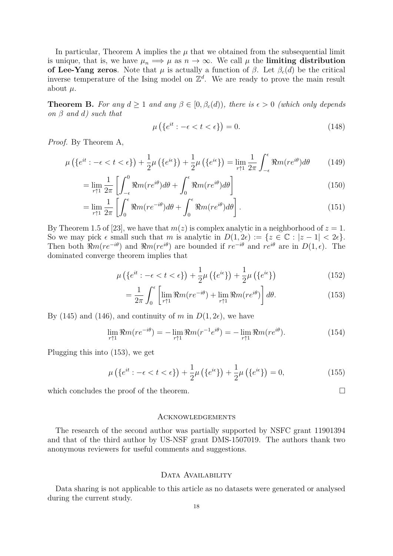In particular, Theorem A implies the  $\mu$  that we obtained from the subsequential limit is unique, that is, we have  $\mu_n \implies \mu$  as  $n \to \infty$ . We call  $\mu$  the **limiting distribution of Lee-Yang zeros**. Note that  $\mu$  is actually a function of  $\beta$ . Let  $\beta_c(d)$  be the critical inverse temperature of the Ising model on  $\mathbb{Z}^d$ . We are ready to prove the main result about  $\mu$ .

**Theorem B.** For any  $d \geq 1$  and any  $\beta \in [0, \beta_c(d))$ , there is  $\epsilon > 0$  (which only depends *on β and d) such that*

$$
\mu\left(\left\{e^{it} : -\epsilon < t < \epsilon\right\}\right) = 0. \tag{148}
$$

*Proof.* By Theorem A,

$$
\mu\left(\left\{e^{it} : -\epsilon < t < \epsilon\right\}\right) + \frac{1}{2}\mu\left(\left\{e^{i\epsilon}\right\}\right) + \frac{1}{2}\mu\left(\left\{e^{i\epsilon}\right\}\right) = \lim_{r \uparrow 1} \frac{1}{2\pi} \int_{-\epsilon}^{\epsilon} \Re m(re^{i\theta}) d\theta \tag{149}
$$

$$
= \lim_{r \uparrow 1} \frac{1}{2\pi} \left[ \int_{-\epsilon}^{0} \Re m(re^{i\theta}) d\theta + \int_{0}^{\epsilon} \Re m(re^{i\theta}) d\theta \right]
$$
(150)

$$
= \lim_{r \uparrow 1} \frac{1}{2\pi} \left[ \int_0^{\epsilon} \Re m (r e^{-i\theta}) d\theta + \int_0^{\epsilon} \Re m (r e^{i\theta}) d\theta \right]. \tag{151}
$$

By Theorem 1.5 of [23], we have that  $m(z)$  is complex analytic in a neighborhood of  $z = 1$ . So we may pick  $\epsilon$  small such that *m* is analytic in  $D(1, 2\epsilon) := \{z \in \mathbb{C} : |z - 1| < 2\epsilon\}.$ Then both  $\Re m(re^{-i\theta})$  and  $\Re m(re^{i\theta})$  are bounded if  $re^{-i\theta}$  and  $re^{i\theta}$  are in  $D(1,\epsilon)$ . The dominated converge theorem implies that

$$
\mu\left(\left\{e^{it} : -\epsilon < t < \epsilon\right\}\right) + \frac{1}{2}\mu\left(\left\{e^{i\epsilon}\right\}\right) + \frac{1}{2}\mu\left(\left\{e^{i\epsilon}\right\}\right) \tag{152}
$$

$$
= \frac{1}{2\pi} \int_0^{\epsilon} \left[ \lim_{r \uparrow 1} \Re m(re^{-i\theta}) + \lim_{r \uparrow 1} \Re m(re^{i\theta}) \right] d\theta.
$$
 (153)

By (145) and (146), and continuity of *m* in  $D(1, 2\epsilon)$ , we have

$$
\lim_{r \uparrow 1} \Re m(re^{-i\theta}) = -\lim_{r \uparrow 1} \Re m(r^{-1}e^{i\theta}) = -\lim_{r \uparrow 1} \Re m(re^{i\theta}). \tag{154}
$$

Plugging this into (153), we get

$$
\mu\left(\{e^{it} : -\epsilon < t < \epsilon\}\right) + \frac{1}{2}\mu\left(\{e^{i\epsilon}\}\right) + \frac{1}{2}\mu\left(\{e^{i\epsilon}\}\right) = 0,\tag{155}
$$

which concludes the proof of the theorem.  $\Box$ 

## Acknowledgements

The research of the second author was partially supported by NSFC grant 11901394 and that of the third author by US-NSF grant DMS-1507019. The authors thank two anonymous reviewers for useful comments and suggestions.

## DATA AVAILABILITY

Data sharing is not applicable to this article as no datasets were generated or analysed during the current study.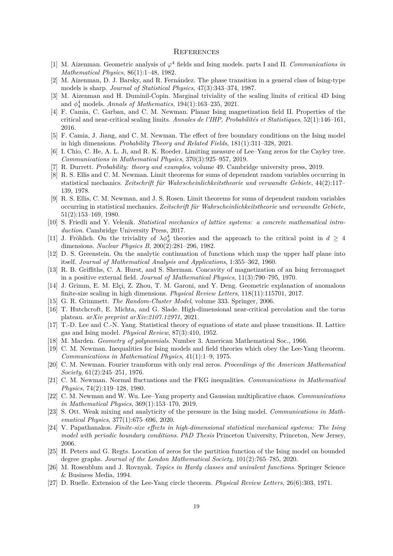#### **REFERENCES**

- [1] M. Aizenman. Geometric analysis of *φ* <sup>4</sup> fields and Ising models. parts I and II. *Communications in Mathematical Physics*, 86(1):1–48, 1982.
- [2] M. Aizenman, D. J. Barsky, and R. Fernández. The phase transition in a general class of Ising-type models is sharp. *Journal of Statistical Physics*, 47(3):343–374, 1987.
- [3] M. Aizenman and H. Duminil-Copin. Marginal triviality of the scaling limits of critical 4D Ising and *ϕ* 4 <sup>4</sup> models. *Annals of Mathematics*, 194(1):163–235, 2021.
- [4] F. Camia, C. Garban, and C. M. Newman. Planar Ising magnetization field II. Properties of the critical and near-critical scaling limits. *Annales de l'IHP, Probabilités et Statistiques*, 52(1):146–161, 2016.
- [5] F. Camia, J. Jiang, and C. M. Newman. The effect of free boundary conditions on the Ising model in high dimensions. *Probability Theory and Related Fields*, 181(1):311–328, 2021.
- [6] I. Chio, C. He, A. L. Ji, and R. K. Roeder. Limiting measure of Lee–Yang zeros for the Cayley tree. *Communications in Mathematical Physics*, 370(3):925–957, 2019.
- [7] R. Durrett. *Probability: theory and examples*, volume 49. Cambridge university press, 2019.
- [8] R. S. Ellis and C. M. Newman. Limit theorems for sums of dependent random variables occurring in statistical mechanics. *Zeitschrift für Wahrscheinlichkeitstheorie und verwandte Gebiete*, 44(2):117– 139, 1978.
- [9] R. S. Ellis, C. M. Newman, and J. S. Rosen. Limit theorems for sums of dependent random variables occurring in statistical mechanics. *Zeitschrift für Wahrscheinlichkeitstheorie und verwandte Gebiete*, 51(2):153–169, 1980.
- [10] S. Friedli and Y. Velenik. *Statistical mechanics of lattice systems: a concrete mathematical introduction*. Cambridge University Press, 2017.
- [11] J. Fröhlich. On the triviality of  $\lambda \phi_d^4$  theories and the approach to the critical point in  $d \geq 4$ dimensions. *Nuclear Physics B*, 200(2):281–296, 1982.
- [12] D. S. Greenstein. On the analytic continuation of functions which map the upper half plane into itself. *Journal of Mathematical Analysis and Applications*, 1:355–362, 1960.
- [13] R. B. Griffiths, C. A. Hurst, and S. Sherman. Concavity of magnetization of an Ising ferromagnet in a positive external field. *Journal of Mathematical Physics*, 11(3):790–795, 1970.
- [14] J. Grimm, E. M. Elçi, Z. Zhou, T. M. Garoni, and Y. Deng. Geometric explanation of anomalous finite-size scaling in high dimensions. *Physical Review Letters*, 118(11):115701, 2017.
- [15] G. R. Grimmett. *The Random-Cluster Model*, volume 333. Springer, 2006.
- [16] T. Hutchcroft, E. Michta, and G. Slade. High-dimensional near-critical percolation and the torus plateau. *arXiv preprint arXiv:2107.12971*, 2021.
- [17] T.-D. Lee and C.-N. Yang. Statistical theory of equations of state and phase transitions. II. Lattice gas and Ising model. *Physical Review*, 87(3):410, 1952.
- [18] M. Marden. *Geometry of polynomials*. Number 3. American Mathematical Soc., 1966.
- [19] C. M. Newman. Inequalities for Ising models and field theories which obey the Lee-Yang theorem. *Communications in Mathematical Physics*, 41(1):1–9, 1975.
- [20] C. M. Newman. Fourier transforms with only real zeros. *Proceedings of the American Mathematical Society*, 61(2):245–251, 1976.
- [21] C. M. Newman. Normal fluctuations and the FKG inequalities. *Communications in Mathematical Physics*, 74(2):119–128, 1980.
- [22] C. M. Newman and W. Wu. Lee–Yang property and Gaussian multiplicative chaos. *Communications in Mathematical Physics*, 369(1):153–170, 2019.
- [23] S. Ott. Weak mixing and analyticity of the pressure in the Ising model. *Communications in Mathematical Physics*, 377(1):675–696, 2020.
- [24] V. Papathanakos. *Finite-size effects in high-dimensional statistical mechanical systems: The Ising model with periodic boundary conditions*. *PhD Thesis* Princeton University, Princeton, New Jersey, 2006.
- [25] H. Peters and G. Regts. Location of zeros for the partition function of the Ising model on bounded degree graphs. *Journal of the London Mathematical Society*, 101(2):765–785, 2020.
- [26] M. Rosenblum and J. Rovnyak. *Topics in Hardy classes and univalent functions*. Springer Science & Business Media, 1994.
- [27] D. Ruelle. Extension of the Lee-Yang circle theorem. *Physical Review Letters*, 26(6):303, 1971.